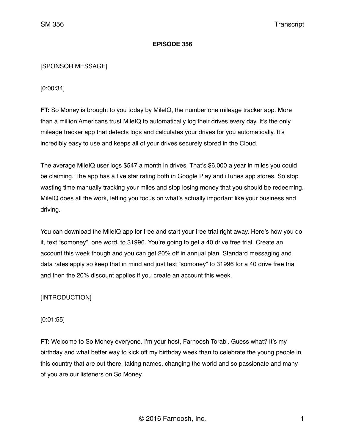## **EPISODE 356**

## [SPONSOR MESSAGE]

[0:00:34]

**FT:** So Money is brought to you today by MileIQ, the number one mileage tracker app. More than a million Americans trust MileIQ to automatically log their drives every day. It's the only mileage tracker app that detects logs and calculates your drives for you automatically. It's incredibly easy to use and keeps all of your drives securely stored in the Cloud.

The average MileIQ user logs \$547 a month in drives. That's \$6,000 a year in miles you could be claiming. The app has a five star rating both in Google Play and iTunes app stores. So stop wasting time manually tracking your miles and stop losing money that you should be redeeming. MileIQ does all the work, letting you focus on what's actually important like your business and driving.

You can download the MileIQ app for free and start your free trial right away. Here's how you do it, text "somoney", one word, to 31996. You're going to get a 40 drive free trial. Create an account this week though and you can get 20% off in annual plan. Standard messaging and data rates apply so keep that in mind and just text "somoney" to 31996 for a 40 drive free trial and then the 20% discount applies if you create an account this week.

# [INTRODUCTION]

# [0:01:55]

**FT:** Welcome to So Money everyone. I'm your host, Farnoosh Torabi. Guess what? It's my birthday and what better way to kick off my birthday week than to celebrate the young people in this country that are out there, taking names, changing the world and so passionate and many of you are our listeners on So Money.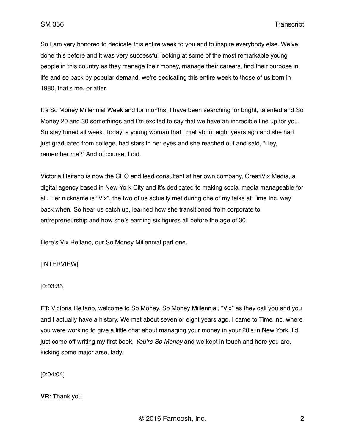So I am very honored to dedicate this entire week to you and to inspire everybody else. We've done this before and it was very successful looking at some of the most remarkable young people in this country as they manage their money, manage their careers, find their purpose in life and so back by popular demand, we're dedicating this entire week to those of us born in 1980, that's me, or after.

It's So Money Millennial Week and for months, I have been searching for bright, talented and So Money 20 and 30 somethings and I'm excited to say that we have an incredible line up for you. So stay tuned all week. Today, a young woman that I met about eight years ago and she had just graduated from college, had stars in her eyes and she reached out and said, "Hey, remember me?" And of course, I did.

Victoria Reitano is now the CEO and lead consultant at her own company, CreatiVix Media, a digital agency based in New York City and it's dedicated to making social media manageable for all. Her nickname is "Vix", the two of us actually met during one of my talks at Time Inc. way back when. So hear us catch up, learned how she transitioned from corporate to entrepreneurship and how she's earning six figures all before the age of 30.

Here's Vix Reitano, our So Money Millennial part one.

## [INTERVIEW]

#### [0:03:33]

**FT:** Victoria Reitano, welcome to So Money. So Money Millennial, "Vix" as they call you and you and I actually have a history. We met about seven or eight years ago. I came to Time Inc. where you were working to give a little chat about managing your money in your 20's in New York. I'd just come off writing my first book, *You're So Money* and we kept in touch and here you are, kicking some major arse, lady.

[0:04:04]

**VR:** Thank you.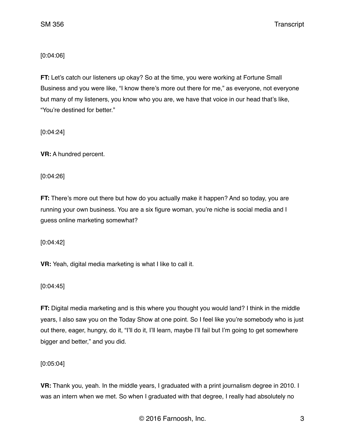## [0:04:06]

**FT:** Let's catch our listeners up okay? So at the time, you were working at Fortune Small Business and you were like, "I know there's more out there for me," as everyone, not everyone but many of my listeners, you know who you are, we have that voice in our head that's like, "You're destined for better."

[0:04:24]

**VR:** A hundred percent.

[0:04:26]

**FT:** There's more out there but how do you actually make it happen? And so today, you are running your own business. You are a six figure woman, you're niche is social media and I guess online marketing somewhat?

[0:04:42]

**VR:** Yeah, digital media marketing is what I like to call it.

[0:04:45]

**FT:** Digital media marketing and is this where you thought you would land? I think in the middle years, I also saw you on the Today Show at one point. So I feel like you're somebody who is just out there, eager, hungry, do it, "I'll do it, I'll learn, maybe I'll fail but I'm going to get somewhere bigger and better," and you did.

[0:05:04]

**VR:** Thank you, yeah. In the middle years, I graduated with a print journalism degree in 2010. I was an intern when we met. So when I graduated with that degree, I really had absolutely no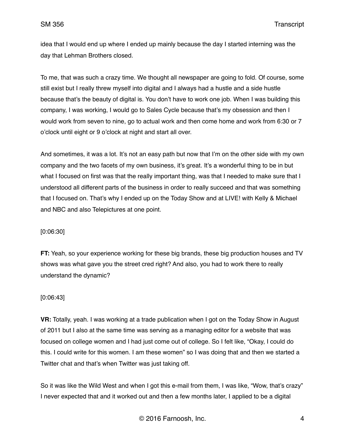idea that I would end up where I ended up mainly because the day I started interning was the day that Lehman Brothers closed.

To me, that was such a crazy time. We thought all newspaper are going to fold. Of course, some still exist but I really threw myself into digital and I always had a hustle and a side hustle because that's the beauty of digital is. You don't have to work one job. When I was building this company, I was working, I would go to Sales Cycle because that's my obsession and then I would work from seven to nine, go to actual work and then come home and work from 6:30 or 7 o'clock until eight or 9 o'clock at night and start all over.

And sometimes, it was a lot. It's not an easy path but now that I'm on the other side with my own company and the two facets of my own business, it's great. It's a wonderful thing to be in but what I focused on first was that the really important thing, was that I needed to make sure that I understood all different parts of the business in order to really succeed and that was something that I focused on. That's why I ended up on the Today Show and at LIVE! with Kelly & Michael and NBC and also Telepictures at one point.

## [0:06:30]

**FT:** Yeah, so your experience working for these big brands, these big production houses and TV shows was what gave you the street cred right? And also, you had to work there to really understand the dynamic?

## [0:06:43]

**VR:** Totally, yeah. I was working at a trade publication when I got on the Today Show in August of 2011 but I also at the same time was serving as a managing editor for a website that was focused on college women and I had just come out of college. So I felt like, "Okay, I could do this. I could write for this women. I am these women" so I was doing that and then we started a Twitter chat and that's when Twitter was just taking off.

So it was like the Wild West and when I got this e-mail from them, I was like, "Wow, that's crazy" I never expected that and it worked out and then a few months later, I applied to be a digital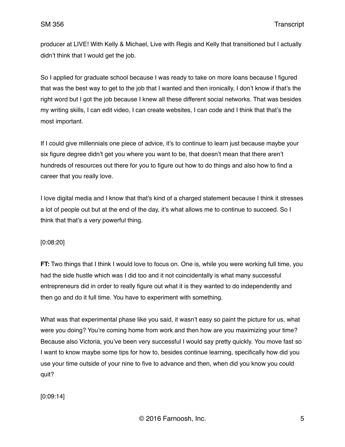producer at LIVE! With Kelly & Michael, Live with Regis and Kelly that transitioned but I actually didn't think that I would get the job.

So I applied for graduate school because I was ready to take on more loans because I figured that was the best way to get to the job that I wanted and then ironically, I don't know if that's the right word but I got the job because I knew all these different social networks. That was besides my writing skills, I can edit video, I can create websites, I can code and I think that that's the most important.

If I could give millennials one piece of advice, it's to continue to learn just because maybe your six figure degree didn't get you where you want to be, that doesn't mean that there aren't hundreds of resources out there for you to figure out how to do things and also how to find a career that you really love.

I love digital media and I know that that's kind of a charged statement because I think it stresses a lot of people out but at the end of the day, it's what allows me to continue to succeed. So I think that that's a very powerful thing.

## [0:08:20]

**FT:** Two things that I think I would love to focus on. One is, while you were working full time, you had the side hustle which was I did too and it not coincidentally is what many successful entrepreneurs did in order to really figure out what it is they wanted to do independently and then go and do it full time. You have to experiment with something.

What was that experimental phase like you said, it wasn't easy so paint the picture for us, what were you doing? You're coming home from work and then how are you maximizing your time? Because also Victoria, you've been very successful I would say pretty quickly. You move fast so I want to know maybe some tips for how to, besides continue learning, specifically how did you use your time outside of your nine to five to advance and then, when did you know you could quit?

[0:09:14]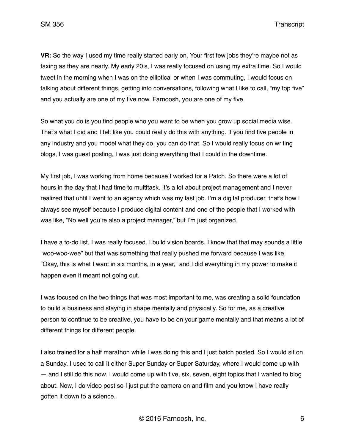SM 356 Transcript

**VR:** So the way I used my time really started early on. Your first few jobs they're maybe not as taxing as they are nearly. My early 20's, I was really focused on using my extra time. So I would tweet in the morning when I was on the elliptical or when I was commuting, I would focus on talking about different things, getting into conversations, following what I like to call, "my top five" and you actually are one of my five now. Farnoosh, you are one of my five.

So what you do is you find people who you want to be when you grow up social media wise. That's what I did and I felt like you could really do this with anything. If you find five people in any industry and you model what they do, you can do that. So I would really focus on writing blogs, I was guest posting, I was just doing everything that I could in the downtime.

My first job, I was working from home because I worked for a Patch. So there were a lot of hours in the day that I had time to multitask. It's a lot about project management and I never realized that until I went to an agency which was my last job. I'm a digital producer, that's how I always see myself because I produce digital content and one of the people that I worked with was like, "No well you're also a project manager," but I'm just organized.

I have a to-do list, I was really focused. I build vision boards. I know that that may sounds a little "woo-woo-wee" but that was something that really pushed me forward because I was like, "Okay, this is what I want in six months, in a year," and I did everything in my power to make it happen even it meant not going out.

I was focused on the two things that was most important to me, was creating a solid foundation to build a business and staying in shape mentally and physically. So for me, as a creative person to continue to be creative, you have to be on your game mentally and that means a lot of different things for different people.

I also trained for a half marathon while I was doing this and I just batch posted. So I would sit on a Sunday. I used to call it either Super Sunday or Super Saturday, where I would come up with — and I still do this now. I would come up with five, six, seven, eight topics that I wanted to blog about. Now, I do video post so I just put the camera on and film and you know I have really gotten it down to a science.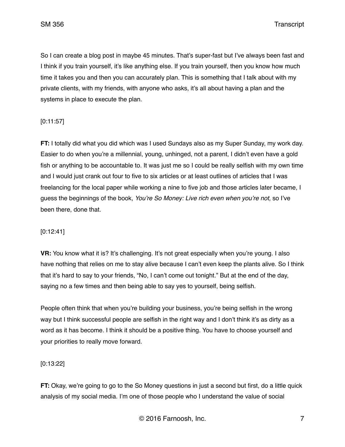SM 356 Transcript

So I can create a blog post in maybe 45 minutes. That's super-fast but I've always been fast and I think if you train yourself, it's like anything else. If you train yourself, then you know how much time it takes you and then you can accurately plan. This is something that I talk about with my private clients, with my friends, with anyone who asks, it's all about having a plan and the systems in place to execute the plan.

# [0:11:57]

**FT:** I totally did what you did which was I used Sundays also as my Super Sunday, my work day. Easier to do when you're a millennial, young, unhinged, not a parent, I didn't even have a gold fish or anything to be accountable to. It was just me so I could be really selfish with my own time and I would just crank out four to five to six articles or at least outlines of articles that I was freelancing for the local paper while working a nine to five job and those articles later became, I guess the beginnings of the book, *You're So Money: Live rich even when you're not,* so I've been there, done that.

## [0:12:41]

**VR:** You know what it is? It's challenging. It's not great especially when you're young. I also have nothing that relies on me to stay alive because I can't even keep the plants alive. So I think that it's hard to say to your friends, "No, I can't come out tonight." But at the end of the day, saying no a few times and then being able to say yes to yourself, being selfish.

People often think that when you're building your business, you're being selfish in the wrong way but I think successful people are selfish in the right way and I don't think it's as dirty as a word as it has become. I think it should be a positive thing. You have to choose yourself and your priorities to really move forward.

## [0:13:22]

**FT:** Okay, we're going to go to the So Money questions in just a second but first, do a little quick analysis of my social media. I'm one of those people who I understand the value of social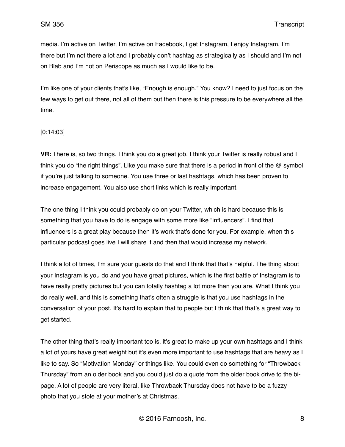media. I'm active on Twitter, I'm active on Facebook, I get Instagram, I enjoy Instagram, I'm there but I'm not there a lot and I probably don't hashtag as strategically as I should and I'm not on Blab and I'm not on Periscope as much as I would like to be.

I'm like one of your clients that's like, "Enough is enough." You know? I need to just focus on the few ways to get out there, not all of them but then there is this pressure to be everywhere all the time.

#### [0:14:03]

**VR:** There is, so two things. I think you do a great job. I think your Twitter is really robust and I think you do "the right things". Like you make sure that there is a period in front of the @ symbol if you're just talking to someone. You use three or last hashtags, which has been proven to increase engagement. You also use short links which is really important.

The one thing I think you could probably do on your Twitter, which is hard because this is something that you have to do is engage with some more like "influencers". I find that influencers is a great play because then it's work that's done for you. For example, when this particular podcast goes live I will share it and then that would increase my network.

I think a lot of times, I'm sure your guests do that and I think that that's helpful. The thing about your Instagram is you do and you have great pictures, which is the first battle of Instagram is to have really pretty pictures but you can totally hashtag a lot more than you are. What I think you do really well, and this is something that's often a struggle is that you use hashtags in the conversation of your post. It's hard to explain that to people but I think that that's a great way to get started.

The other thing that's really important too is, it's great to make up your own hashtags and I think a lot of yours have great weight but it's even more important to use hashtags that are heavy as I like to say. So "Motivation Monday" or things like. You could even do something for "Throwback Thursday" from an older book and you could just do a quote from the older book drive to the bipage. A lot of people are very literal, like Throwback Thursday does not have to be a fuzzy photo that you stole at your mother's at Christmas.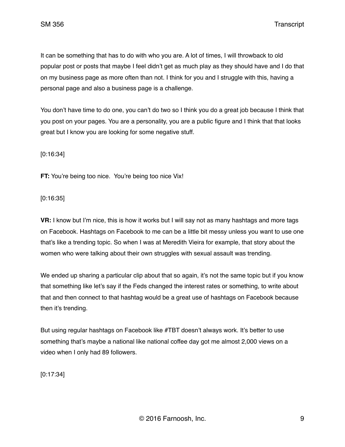SM 356 Transcript

It can be something that has to do with who you are. A lot of times, I will throwback to old popular post or posts that maybe I feel didn't get as much play as they should have and I do that on my business page as more often than not. I think for you and I struggle with this, having a personal page and also a business page is a challenge.

You don't have time to do one, you can't do two so I think you do a great job because I think that you post on your pages. You are a personality, you are a public figure and I think that that looks great but I know you are looking for some negative stuff.

[0:16:34]

**FT:** You're being too nice. You're being too nice Vix!

[0:16:35]

**VR:** I know but I'm nice, this is how it works but I will say not as many hashtags and more tags on Facebook. Hashtags on Facebook to me can be a little bit messy unless you want to use one that's like a trending topic. So when I was at Meredith Vieira for example, that story about the women who were talking about their own struggles with sexual assault was trending.

We ended up sharing a particular clip about that so again, it's not the same topic but if you know that something like let's say if the Feds changed the interest rates or something, to write about that and then connect to that hashtag would be a great use of hashtags on Facebook because then it's trending.

But using regular hashtags on Facebook like #TBT doesn't always work. It's better to use something that's maybe a national like national coffee day got me almost 2,000 views on a video when I only had 89 followers.

[0:17:34]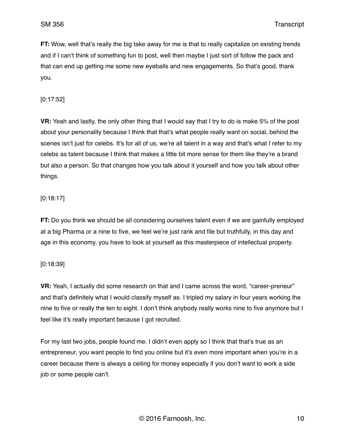**FT:** Wow, well that's really the big take away for me is that to really capitalize on existing trends and if I can't think of something fun to post, well then maybe I just sort of follow the pack and that can end up getting me some new eyeballs and new engagements. So that's good, thank you.

[0:17:52]

**VR:** Yeah and lastly, the only other thing that I would say that I try to do is make 5% of the post about your personality because I think that that's what people really want on social, behind the scenes isn't just for celebs. It's for all of us, we're all talent in a way and that's what I refer to my celebs as talent because I think that makes a little bit more sense for them like they're a brand but also a person. So that changes how you talk about it yourself and how you talk about other things.

[0:18:17]

**FT:** Do you think we should be all considering ourselves talent even if we are gainfully employed at a big Pharma or a nine to five, we feel we're just rank and file but truthfully, in this day and age in this economy, you have to look at yourself as this masterpiece of intellectual property.

[0:18:39]

**VR:** Yeah, I actually did some research on that and I came across the word, "career-preneur" and that's definitely what I would classify myself as. I tripled my salary in four years working the nine to five or really the ten to eight. I don't think anybody really works nine to five anymore but I feel like it's really important because I got recruited.

For my last two jobs, people found me. I didn't even apply so I think that that's true as an entrepreneur, you want people to find you online but it's even more important when you're in a career because there is always a ceiling for money especially if you don't want to work a side job or some people can't.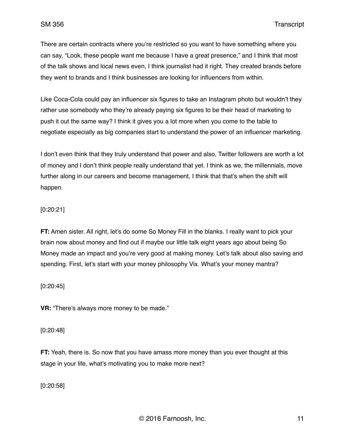There are certain contracts where you're restricted so you want to have something where you can say, "Look, these people want me because I have a great presence," and I think that most of the talk shows and local news even, I think journalist had it right. They created brands before they went to brands and I think businesses are looking for influencers from within.

Like Coca-Cola could pay an influencer six figures to take an Instagram photo but wouldn't they rather use somebody who they're already paying six figures to be their head of marketing to push it out the same way? I think it gives you a lot more when you come to the table to negotiate especially as big companies start to understand the power of an influencer marketing.

I don't even think that they truly understand that power and also, Twitter followers are worth a lot of money and I don't think people really understand that yet. I think as we, the millennials, move further along in our careers and become management, I think that that's when the shift will happen.

## [0:20:21]

**FT:** Amen sister. All right, let's do some So Money Fill in the blanks. I really want to pick your brain now about money and find out if maybe our little talk eight years ago about being So Money made an impact and you're very good at making money. Let's talk about also saving and spending. First, let's start with your money philosophy Vix. What's your money mantra?

## [0:20:45]

**VR:** "There's always more money to be made."

## [0:20:48]

**FT:** Yeah, there is. So now that you have amass more money than you ever thought at this stage in your life, what's motivating you to make more next?

[0:20:58]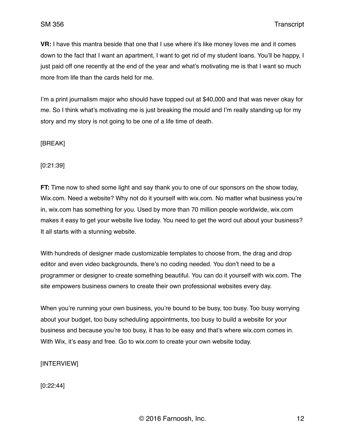**VR:** I have this mantra beside that one that I use where it's like money loves me and it comes down to the fact that I want an apartment, I want to get rid of my student loans. You'll be happy, I just paid off one recently at the end of the year and what's motivating me is that I want so much more from life than the cards held for me.

I'm a print journalism major who should have topped out at \$40,000 and that was never okay for me. So I think what's motivating me is just breaking the mould and I'm really standing up for my story and my story is not going to be one of a life time of death.

## [BREAK]

[0:21:39]

**FT:** Time now to shed some light and say thank you to one of our sponsors on the show today, Wix.com. Need a website? Why not do it yourself with wix.com. No matter what business you're in, wix.com has something for you. Used by more than 70 million people worldwide, wix.com makes it easy to get your website live today. You need to get the word out about your business? It all starts with a stunning website.

With hundreds of designer made customizable templates to choose from, the drag and drop editor and even video backgrounds, there's no coding needed. You don't need to be a programmer or designer to create something beautiful. You can do it yourself with wix.com. The site empowers business owners to create their own professional websites every day.

When you're running your own business, you're bound to be busy, too busy. Too busy worrying about your budget, too busy scheduling appointments, too busy to build a website for your business and because you're too busy, it has to be easy and that's where wix.com comes in. With Wix, it's easy and free. Go to wix.com to create your own website today.

# [INTERVIEW]

[0:22:44]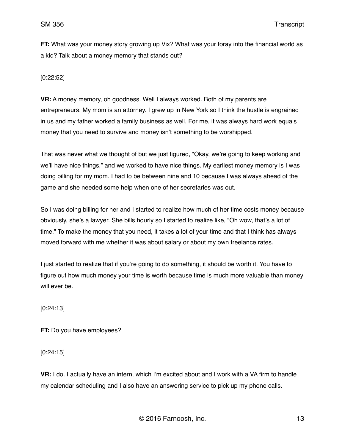**FT:** What was your money story growing up Vix? What was your foray into the financial world as a kid? Talk about a money memory that stands out?

[0:22:52]

**VR:** A money memory, oh goodness. Well I always worked. Both of my parents are entrepreneurs. My mom is an attorney. I grew up in New York so I think the hustle is engrained in us and my father worked a family business as well. For me, it was always hard work equals money that you need to survive and money isn't something to be worshipped.

That was never what we thought of but we just figured, "Okay, we're going to keep working and we'll have nice things," and we worked to have nice things. My earliest money memory is I was doing billing for my mom. I had to be between nine and 10 because I was always ahead of the game and she needed some help when one of her secretaries was out.

So I was doing billing for her and I started to realize how much of her time costs money because obviously, she's a lawyer. She bills hourly so I started to realize like, "Oh wow, that's a lot of time." To make the money that you need, it takes a lot of your time and that I think has always moved forward with me whether it was about salary or about my own freelance rates.

I just started to realize that if you're going to do something, it should be worth it. You have to figure out how much money your time is worth because time is much more valuable than money will ever be.

[0:24:13]

**FT:** Do you have employees?

[0:24:15]

**VR:** I do. I actually have an intern, which I'm excited about and I work with a VA firm to handle my calendar scheduling and I also have an answering service to pick up my phone calls.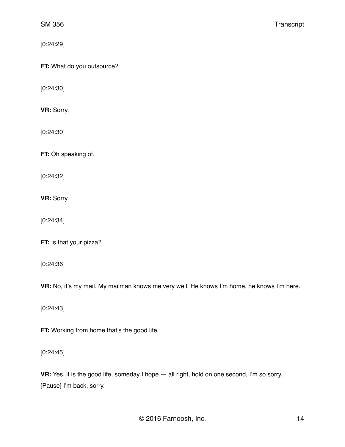[0:24:29]

**FT:** What do you outsource?

[0:24:30]

**VR:** Sorry.

[0:24:30]

**FT:** Oh speaking of.

[0:24:32]

**VR:** Sorry.

[0:24:34]

**FT:** Is that your pizza?

[0:24:36]

**VR:** No, it's my mail. My mailman knows me very well. He knows I'm home, he knows I'm here.

[0:24:43]

**FT:** Working from home that's the good life.

[0:24:45]

**VR:** Yes, it is the good life, someday I hope — all right, hold on one second, I'm so sorry. [Pause] I'm back, sorry.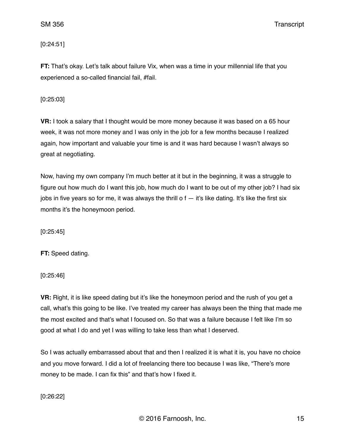SM 356 Transcript

[0:24:51]

**FT:** That's okay. Let's talk about failure Vix, when was a time in your millennial life that you experienced a so-called financial fail, #fail.

[0:25:03]

**VR:** I took a salary that I thought would be more money because it was based on a 65 hour week, it was not more money and I was only in the job for a few months because I realized again, how important and valuable your time is and it was hard because I wasn't always so great at negotiating.

Now, having my own company I'm much better at it but in the beginning, it was a struggle to figure out how much do I want this job, how much do I want to be out of my other job? I had six jobs in five years so for me, it was always the thrill o  $f - i f$ 's like dating. It's like the first six months it's the honeymoon period.

[0:25:45]

**FT:** Speed dating.

[0:25:46]

**VR:** Right, it is like speed dating but it's like the honeymoon period and the rush of you get a call, what's this going to be like. I've treated my career has always been the thing that made me the most excited and that's what I focused on. So that was a failure because I felt like I'm so good at what I do and yet I was willing to take less than what I deserved.

So I was actually embarrassed about that and then I realized it is what it is, you have no choice and you move forward. I did a lot of freelancing there too because I was like, "There's more money to be made. I can fix this" and that's how I fixed it.

[0:26:22]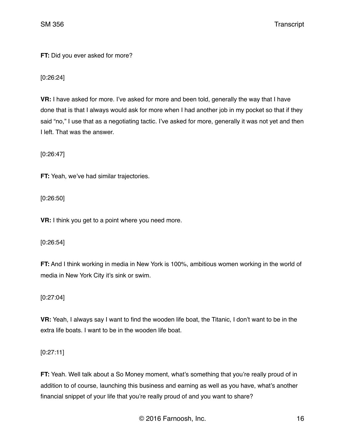**FT:** Did you ever asked for more?

[0:26:24]

**VR:** I have asked for more. I've asked for more and been told, generally the way that I have done that is that I always would ask for more when I had another job in my pocket so that if they said "no," I use that as a negotiating tactic. I've asked for more, generally it was not yet and then I left. That was the answer.

[0:26:47]

**FT:** Yeah, we've had similar trajectories.

[0:26:50]

**VR:** I think you get to a point where you need more.

[0:26:54]

**FT:** And I think working in media in New York is 100%, ambitious women working in the world of media in New York City it's sink or swim.

[0:27:04]

**VR:** Yeah, I always say I want to find the wooden life boat, the Titanic, I don't want to be in the extra life boats. I want to be in the wooden life boat.

[0:27:11]

**FT:** Yeah. Well talk about a So Money moment, what's something that you're really proud of in addition to of course, launching this business and earning as well as you have, what's another financial snippet of your life that you're really proud of and you want to share?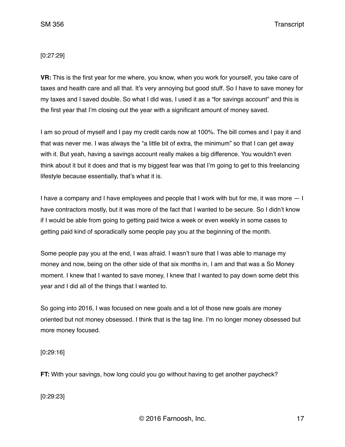## [0:27:29]

**VR:** This is the first year for me where, you know, when you work for yourself, you take care of taxes and health care and all that. It's very annoying but good stuff. So I have to save money for my taxes and I saved double. So what I did was, I used it as a "for savings account" and this is the first year that I'm closing out the year with a significant amount of money saved.

I am so proud of myself and I pay my credit cards now at 100%. The bill comes and I pay it and that was never me. I was always the "a little bit of extra, the minimum" so that I can get away with it. But yeah, having a savings account really makes a big difference. You wouldn't even think about it but it does and that is my biggest fear was that I'm going to get to this freelancing lifestyle because essentially, that's what it is.

I have a company and I have employees and people that I work with but for me, it was more — I have contractors mostly, but it was more of the fact that I wanted to be secure. So I didn't know if I would be able from going to getting paid twice a week or even weekly in some cases to getting paid kind of sporadically some people pay you at the beginning of the month.

Some people pay you at the end, I was afraid. I wasn't sure that I was able to manage my money and now, being on the other side of that six months in, I am and that was a So Money moment. I knew that I wanted to save money, I knew that I wanted to pay down some debt this year and I did all of the things that I wanted to.

So going into 2016, I was focused on new goals and a lot of those new goals are money oriented but not money obsessed. I think that is the tag line. I'm no longer money obsessed but more money focused.

[0:29:16]

**FT:** With your savings, how long could you go without having to get another paycheck?

[0:29:23]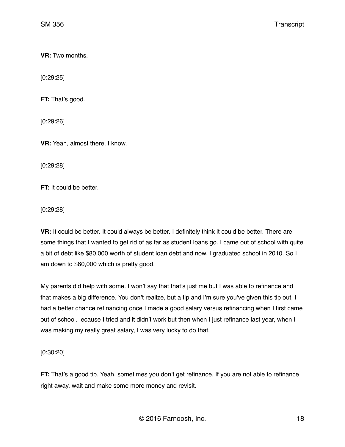**VR:** Two months.

[0:29:25]

**FT:** That's good.

[0:29:26]

**VR:** Yeah, almost there. I know.

[0:29:28]

**FT:** It could be better.

[0:29:28]

**VR:** It could be better. It could always be better. I definitely think it could be better. There are some things that I wanted to get rid of as far as student loans go. I came out of school with quite a bit of debt like \$80,000 worth of student loan debt and now, I graduated school in 2010. So I am down to \$60,000 which is pretty good.

My parents did help with some. I won't say that that's just me but I was able to refinance and that makes a big difference. You don't realize, but a tip and I'm sure you've given this tip out, I had a better chance refinancing once I made a good salary versus refinancing when I first came out of school. ecause I tried and it didn't work but then when I just refinance last year, when I was making my really great salary, I was very lucky to do that.

[0:30:20]

**FT:** That's a good tip. Yeah, sometimes you don't get refinance. If you are not able to refinance right away, wait and make some more money and revisit.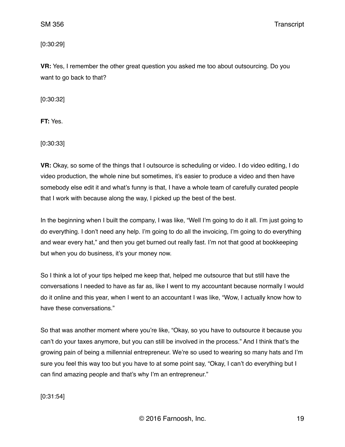SM 356 Transcript

[0:30:29]

**VR:** Yes, I remember the other great question you asked me too about outsourcing. Do you want to go back to that?

[0:30:32]

**FT:** Yes.

[0:30:33]

**VR:** Okay, so some of the things that I outsource is scheduling or video. I do video editing, I do video production, the whole nine but sometimes, it's easier to produce a video and then have somebody else edit it and what's funny is that, I have a whole team of carefully curated people that I work with because along the way, I picked up the best of the best.

In the beginning when I built the company, I was like, "Well I'm going to do it all. I'm just going to do everything. I don't need any help. I'm going to do all the invoicing, I'm going to do everything and wear every hat," and then you get burned out really fast. I'm not that good at bookkeeping but when you do business, it's your money now.

So I think a lot of your tips helped me keep that, helped me outsource that but still have the conversations I needed to have as far as, like I went to my accountant because normally I would do it online and this year, when I went to an accountant I was like, "Wow, I actually know how to have these conversations."

So that was another moment where you're like, "Okay, so you have to outsource it because you can't do your taxes anymore, but you can still be involved in the process." And I think that's the growing pain of being a millennial entrepreneur. We're so used to wearing so many hats and I'm sure you feel this way too but you have to at some point say, "Okay, I can't do everything but I can find amazing people and that's why I'm an entrepreneur."

[0:31:54]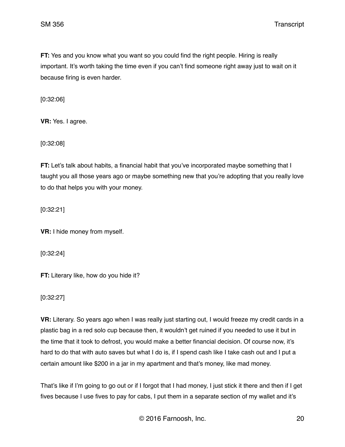**FT:** Yes and you know what you want so you could find the right people. Hiring is really important. It's worth taking the time even if you can't find someone right away just to wait on it because firing is even harder.

[0:32:06]

**VR:** Yes. I agree.

[0:32:08]

**FT:** Let's talk about habits, a financial habit that you've incorporated maybe something that I taught you all those years ago or maybe something new that you're adopting that you really love to do that helps you with your money.

[0:32:21]

**VR:** I hide money from myself.

[0:32:24]

**FT:** Literary like, how do you hide it?

[0:32:27]

**VR:** Literary. So years ago when I was really just starting out, I would freeze my credit cards in a plastic bag in a red solo cup because then, it wouldn't get ruined if you needed to use it but in the time that it took to defrost, you would make a better financial decision. Of course now, it's hard to do that with auto saves but what I do is, if I spend cash like I take cash out and I put a certain amount like \$200 in a jar in my apartment and that's money, like mad money.

That's like if I'm going to go out or if I forgot that I had money, I just stick it there and then if I get fives because I use fives to pay for cabs, I put them in a separate section of my wallet and it's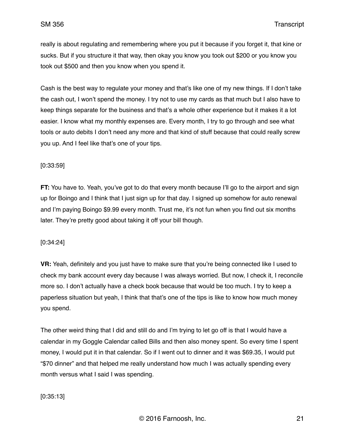really is about regulating and remembering where you put it because if you forget it, that kine or sucks. But if you structure it that way, then okay you know you took out \$200 or you know you took out \$500 and then you know when you spend it.

Cash is the best way to regulate your money and that's like one of my new things. If I don't take the cash out, I won't spend the money. I try not to use my cards as that much but I also have to keep things separate for the business and that's a whole other experience but it makes it a lot easier. I know what my monthly expenses are. Every month, I try to go through and see what tools or auto debits I don't need any more and that kind of stuff because that could really screw you up. And I feel like that's one of your tips.

#### [0:33:59]

**FT:** You have to. Yeah, you've got to do that every month because I'll go to the airport and sign up for Boingo and I think that I just sign up for that day. I signed up somehow for auto renewal and I'm paying Boingo \$9.99 every month. Trust me, it's not fun when you find out six months later. They're pretty good about taking it off your bill though.

#### [0:34:24]

**VR:** Yeah, definitely and you just have to make sure that you're being connected like I used to check my bank account every day because I was always worried. But now, I check it, I reconcile more so. I don't actually have a check book because that would be too much. I try to keep a paperless situation but yeah, I think that that's one of the tips is like to know how much money you spend.

The other weird thing that I did and still do and I'm trying to let go off is that I would have a calendar in my Goggle Calendar called Bills and then also money spent. So every time I spent money, I would put it in that calendar. So if I went out to dinner and it was \$69.35, I would put "\$70 dinner" and that helped me really understand how much I was actually spending every month versus what I said I was spending.

## [0:35:13]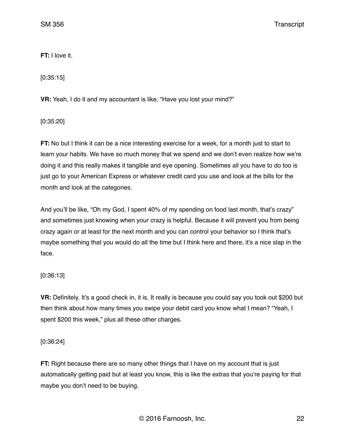**FT:** I love it.

[0:35:15]

**VR:** Yeah, I do it and my accountant is like, "Have you lost your mind?"

[0:35:20]

**FT:** No but I think it can be a nice interesting exercise for a week, for a month just to start to learn your habits. We have so much money that we spend and we don't even realize how we're doing it and this really makes it tangible and eye opening. Sometimes all you have to do too is just go to your American Express or whatever credit card you use and look at the bills for the month and look at the categories.

And you'll be like, "Oh my God, I spent 40% of my spending on food last month, that's crazy" and sometimes just knowing when your crazy is helpful. Because it will prevent you from being crazy again or at least for the next month and you can control your behavior so I think that's maybe something that you would do all the time but I think here and there, it's a nice slap in the face.

# [0:36:13]

**VR:** Definitely. It's a good check in, it is. It really is because you could say you took out \$200 but then think about how many times you swipe your debit card you know what I mean? "Yeah, I spent \$200 this week," plus all these other charges.

[0:36:24]

**FT:** Right because there are so many other things that I have on my account that is just automatically getting paid but at least you know, this is like the extras that you're paying for that maybe you don't need to be buying.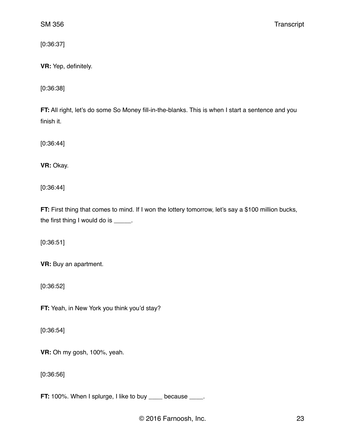[0:36:37]

**VR:** Yep, definitely.

[0:36:38]

**FT:** All right, let's do some So Money fill-in-the-blanks. This is when I start a sentence and you finish it.

[0:36:44]

**VR:** Okay.

[0:36:44]

**FT:** First thing that comes to mind. If I won the lottery tomorrow, let's say a \$100 million bucks, the first thing I would do is \_\_\_\_\_.

[0:36:51]

**VR:** Buy an apartment.

[0:36:52]

**FT:** Yeah, in New York you think you'd stay?

[0:36:54]

**VR:** Oh my gosh, 100%, yeah.

[0:36:56]

**FT:** 100%. When I splurge, I like to buy \_\_\_\_ because \_\_\_\_.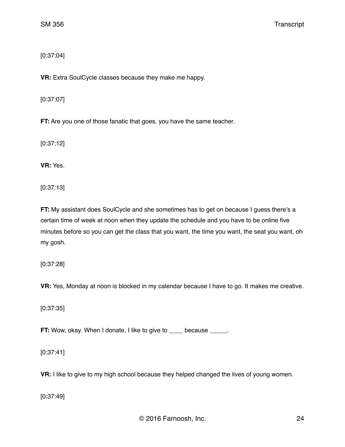[0:37:04]

**VR:** Extra SoulCycle classes because they make me happy.

[0:37:07]

**FT:** Are you one of those fanatic that goes, you have the same teacher.

[0:37:12]

**VR:** Yes.

[0:37:13]

**FT:** My assistant does SoulCycle and she sometimes has to get on because I guess there's a certain time of week at noon when they update the schedule and you have to be online five minutes before so you can get the class that you want, the time you want, the seat you want, oh my gosh.

[0:37:28]

**VR:** Yes, Monday at noon is blocked in my calendar because I have to go. It makes me creative.

[0:37:35]

**FT:** Wow, okay. When I donate, I like to give to subsecause successive.

[0:37:41]

**VR:** I like to give to my high school because they helped changed the lives of young women.

[0:37:49]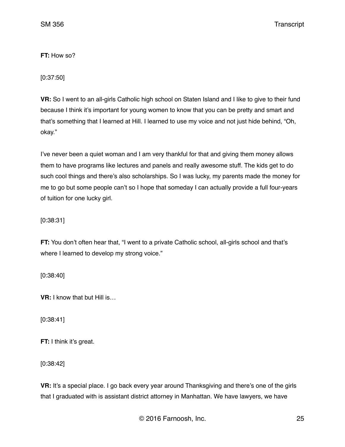**FT:** How so?

[0:37:50]

**VR:** So I went to an all-girls Catholic high school on Staten Island and I like to give to their fund because I think it's important for young women to know that you can be pretty and smart and that's something that I learned at Hill. I learned to use my voice and not just hide behind, "Oh, okay."

I've never been a quiet woman and I am very thankful for that and giving them money allows them to have programs like lectures and panels and really awesome stuff. The kids get to do such cool things and there's also scholarships. So I was lucky, my parents made the money for me to go but some people can't so I hope that someday I can actually provide a full four-years of tuition for one lucky girl.

[0:38:31]

**FT:** You don't often hear that, "I went to a private Catholic school, all-girls school and that's where I learned to develop my strong voice."

[0:38:40]

**VR:** I know that but Hill is…

[0:38:41]

**FT:** I think it's great.

[0:38:42]

**VR:** It's a special place. I go back every year around Thanksgiving and there's one of the girls that I graduated with is assistant district attorney in Manhattan. We have lawyers, we have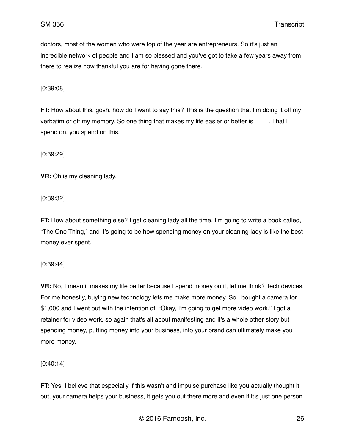doctors, most of the women who were top of the year are entrepreneurs. So it's just an incredible network of people and I am so blessed and you've got to take a few years away from there to realize how thankful you are for having gone there.

[0:39:08]

**FT:** How about this, gosh, how do I want to say this? This is the question that I'm doing it off my verbatim or off my memory. So one thing that makes my life easier or better is That I spend on, you spend on this.

[0:39:29]

**VR:** Oh is my cleaning lady.

[0:39:32]

**FT:** How about something else? I get cleaning lady all the time. I'm going to write a book called, "The One Thing," and it's going to be how spending money on your cleaning lady is like the best money ever spent.

[0:39:44]

**VR:** No, I mean it makes my life better because I spend money on it, let me think? Tech devices. For me honestly, buying new technology lets me make more money. So I bought a camera for \$1,000 and I went out with the intention of, "Okay, I'm going to get more video work." I got a retainer for video work, so again that's all about manifesting and it's a whole other story but spending money, putting money into your business, into your brand can ultimately make you more money.

[0:40:14]

**FT:** Yes. I believe that especially if this wasn't and impulse purchase like you actually thought it out, your camera helps your business, it gets you out there more and even if it's just one person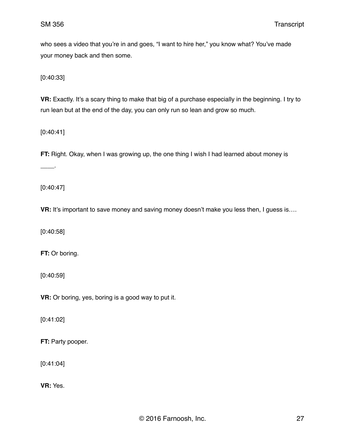who sees a video that you're in and goes, "I want to hire her," you know what? You've made your money back and then some.

[0:40:33]

**VR:** Exactly. It's a scary thing to make that big of a purchase especially in the beginning. I try to run lean but at the end of the day, you can only run so lean and grow so much.

[0:40:41]

**FT:** Right. Okay, when I was growing up, the one thing I wish I had learned about money is

 $\overline{\phantom{a}}$ 

[0:40:47]

**VR:** It's important to save money and saving money doesn't make you less then, I guess is....

[0:40:58]

**FT:** Or boring.

[0:40:59]

**VR:** Or boring, yes, boring is a good way to put it.

[0:41:02]

**FT:** Party pooper.

[0:41:04]

**VR:** Yes.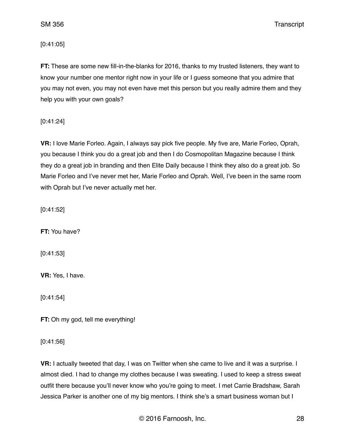SM 356 Transcript

[0:41:05]

**FT:** These are some new fill-in-the-blanks for 2016, thanks to my trusted listeners, they want to know your number one mentor right now in your life or I guess someone that you admire that you may not even, you may not even have met this person but you really admire them and they help you with your own goals?

[0:41:24]

**VR:** I love Marie Forleo. Again, I always say pick five people. My five are, Marie Forleo, Oprah, you because I think you do a great job and then I do Cosmopolitan Magazine because I think they do a great job in branding and then Elite Daily because I think they also do a great job. So Marie Forleo and I've never met her, Marie Forleo and Oprah. Well, I've been in the same room with Oprah but I've never actually met her.

[0:41:52]

**FT:** You have?

[0:41:53]

**VR:** Yes, I have.

[0:41:54]

**FT:** Oh my god, tell me everything!

[0:41:56]

**VR:** I actually tweeted that day, I was on Twitter when she came to live and it was a surprise. I almost died. I had to change my clothes because I was sweating. I used to keep a stress sweat outfit there because you'll never know who you're going to meet. I met Carrie Bradshaw, Sarah Jessica Parker is another one of my big mentors. I think she's a smart business woman but I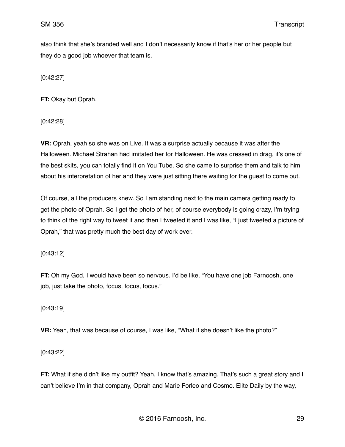also think that she's branded well and I don't necessarily know if that's her or her people but they do a good job whoever that team is.

[0:42:27]

**FT:** Okay but Oprah.

[0:42:28]

**VR:** Oprah, yeah so she was on Live. It was a surprise actually because it was after the Halloween. Michael Strahan had imitated her for Halloween. He was dressed in drag, it's one of the best skits, you can totally find it on You Tube. So she came to surprise them and talk to him about his interpretation of her and they were just sitting there waiting for the guest to come out.

Of course, all the producers knew. So I am standing next to the main camera getting ready to get the photo of Oprah. So I get the photo of her, of course everybody is going crazy, I'm trying to think of the right way to tweet it and then I tweeted it and I was like, "I just tweeted a picture of Oprah," that was pretty much the best day of work ever.

[0:43:12]

**FT:** Oh my God, I would have been so nervous. I'd be like, "You have one job Farnoosh, one job, just take the photo, focus, focus, focus."

[0:43:19]

**VR:** Yeah, that was because of course, I was like, "What if she doesn't like the photo?"

[0:43:22]

**FT:** What if she didn't like my outfit? Yeah, I know that's amazing. That's such a great story and I can't believe I'm in that company, Oprah and Marie Forleo and Cosmo. Elite Daily by the way,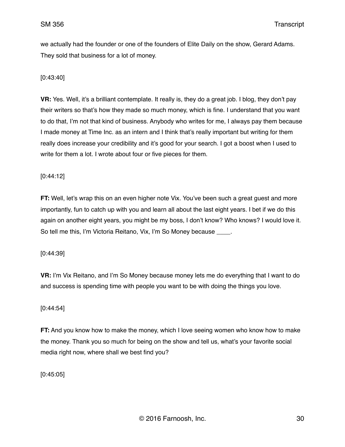we actually had the founder or one of the founders of Elite Daily on the show, Gerard Adams. They sold that business for a lot of money.

## [0:43:40]

**VR:** Yes. Well, it's a brilliant contemplate. It really is, they do a great job. I blog, they don't pay their writers so that's how they made so much money, which is fine. I understand that you want to do that, I'm not that kind of business. Anybody who writes for me, I always pay them because I made money at Time Inc. as an intern and I think that's really important but writing for them really does increase your credibility and it's good for your search. I got a boost when I used to write for them a lot. I wrote about four or five pieces for them.

## [0:44:12]

**FT:** Well, let's wrap this on an even higher note Vix. You've been such a great guest and more importantly, fun to catch up with you and learn all about the last eight years. I bet if we do this again on another eight years, you might be my boss, I don't know? Who knows? I would love it. So tell me this, I'm Victoria Reitano, Vix, I'm So Money because \_\_\_\_.

[0:44:39]

**VR:** I'm Vix Reitano, and I'm So Money because money lets me do everything that I want to do and success is spending time with people you want to be with doing the things you love.

## [0:44:54]

**FT:** And you know how to make the money, which I love seeing women who know how to make the money. Thank you so much for being on the show and tell us, what's your favorite social media right now, where shall we best find you?

[0:45:05]